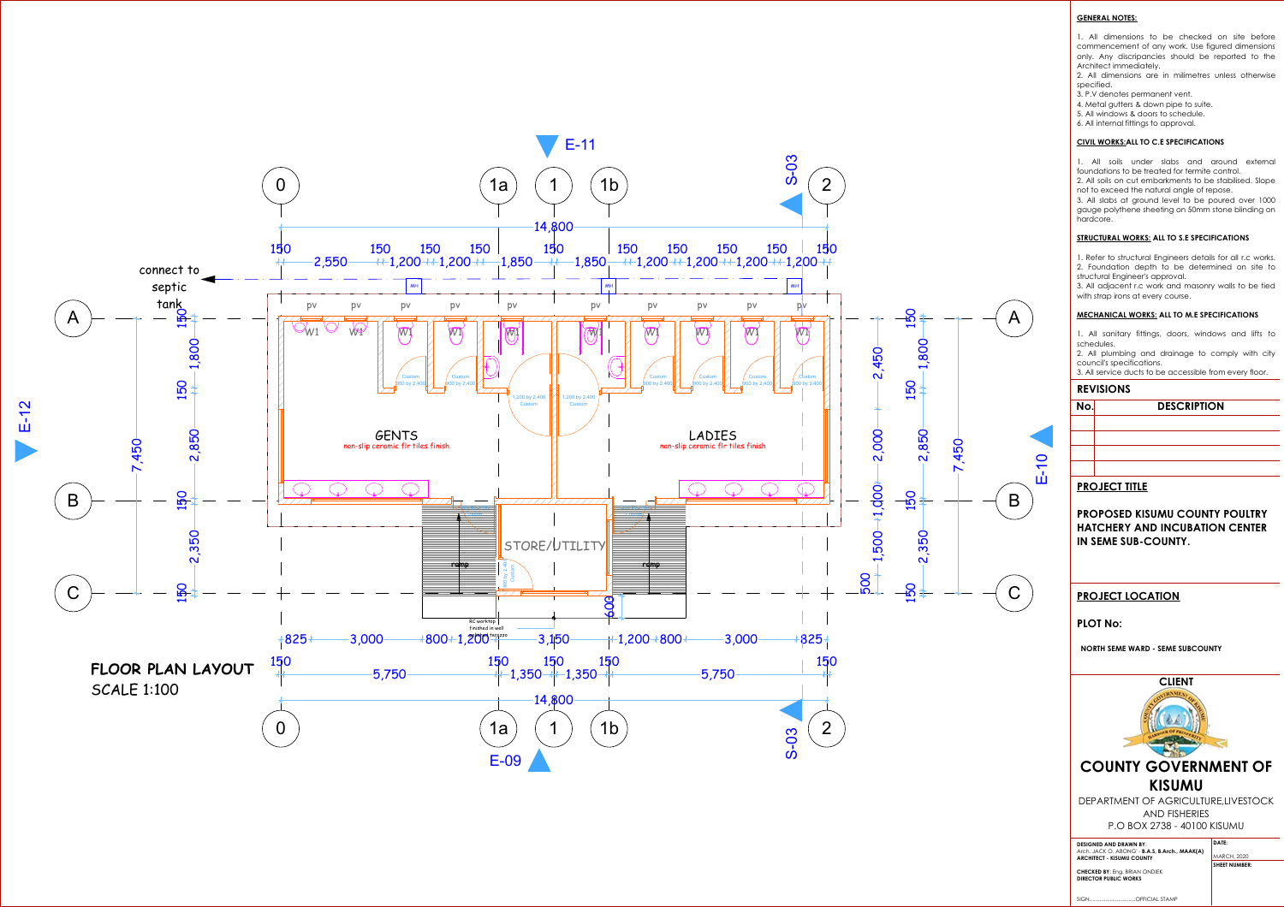**GENERAL NOTES:**

1. All dimensions to be checked on site before commencement of any work. Use figured dimensions only. Any discripancies should be reported to the Architect immediately.

2. All dimensions are in milimetres unless otherwise specified.

- 3. P.V denotes permanent vent.
- 4. Metal gutters & down pipe to suite.
- 5. All windows & doors to schedule.
- 6. All internal fittings to approval.

#### **CIVIL WORKS:ALL TO C.E SPECIFICATIONS**

1. All soils under slabs and around external foundations to be treated for termite control.





2. All soils on cut embarkments to be stabilised. Slope not to exceed the natural angle of repose.

3. All slabs at ground level to be poured over 1000 gauge polythene sheeting on 50mm stone blinding on hardcore.

### **STRUCTURAL WORKS: ALL TO S.E SPECIFICATIONS**

1. Refer to structural Engineers details for all r.c works. 2. Foundation depth to be determined on site to structural Engineer's approval.

3. All adjacent r.c work and masonry walls to be tied with strap irons at every course.

#### **MECHANICAL WORKS: ALL TO M.E SPECIFICATIONS**

1. All sanitary fittings, doors, windows and lifts to schedules.

2. All plumbing and drainage to comply with city council's specifications.

3. All service ducts to be accessible from every floor.

## **REVISIONS**

| Ő |  |
|---|--|
|   |  |
|   |  |

# **PROJECT TITLE**

**PROPOSED KISUMU COUNTY POULTRY HATCHERY AND INCUBATION CENTER IN SEME SUB-COUNTY.**

# **PROJECT LOCATION**

# **PLOT No:**

**NORTH SEME WARD - SEME SUBCOUNTY** 





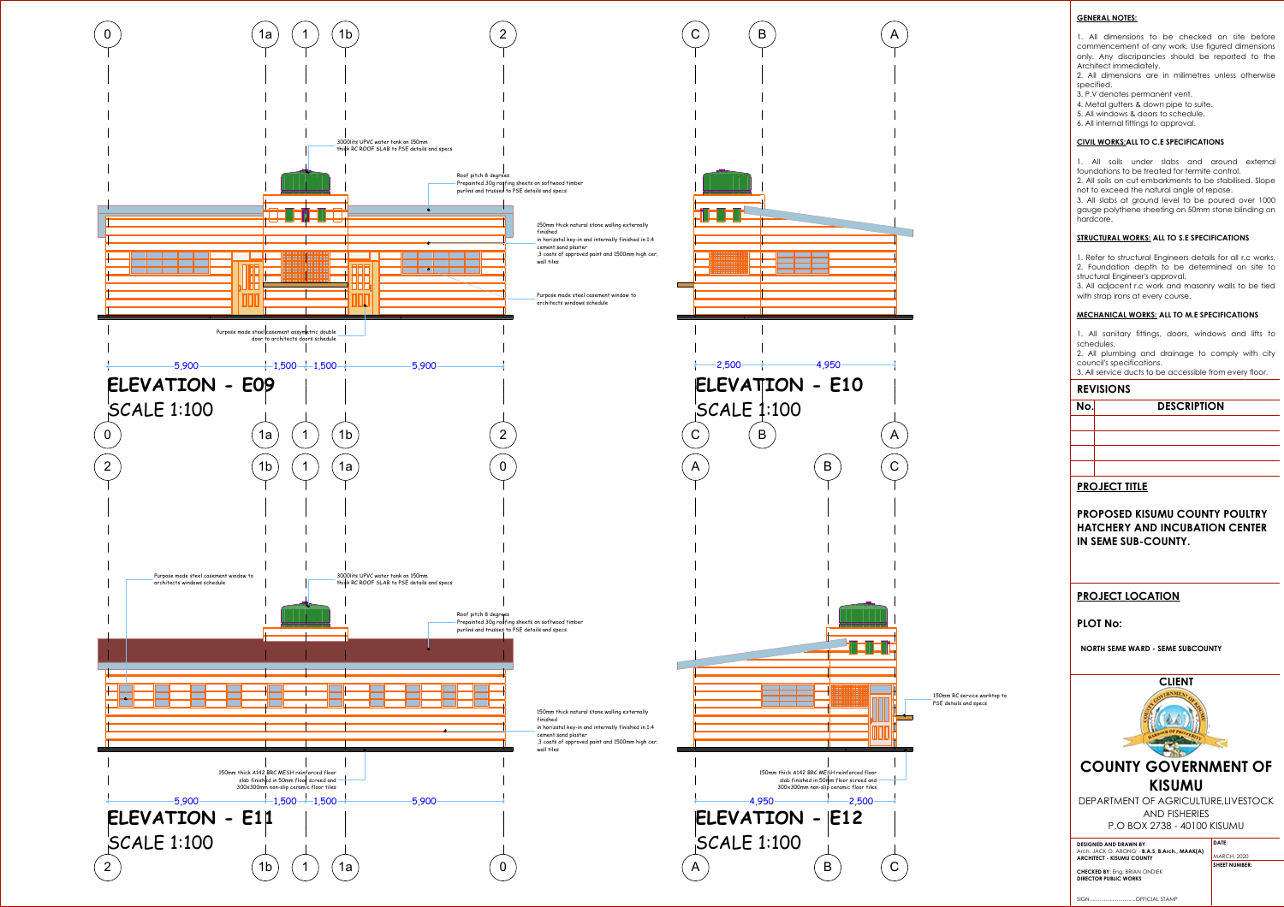#### **GENERAL NOTES:**

1. All dimensions to be checked on site before commencement of any work. Use figured dimensions only. Any discripancies should be reported to the Architect immediately.

2. All dimensions are in milimetres unless otherwise specified.

3. P.V denotes permanent vent.

4. Metal gutters & down pipe to suite.

5. All windows & doors to schedule.

6. All internal fittings to approval.

#### **CIVIL WORKS:ALL TO C.E SPECIFICATIONS**

1. All soils under slabs and around external foundations to be treated for termite control.



2. All soils on cut embarkments to be stabilised. Slope not to exceed the natural angle of repose.

3. All slabs at ground level to be poured over 1000 gauge polythene sheeting on 50mm stone blinding on hardcore.

### **STRUCTURAL WORKS: ALL TO S.E SPECIFICATIONS**

1. Refer to structural Engineers details for all r.c works. 2. Foundation depth to be determined on site to structural Engineer's approval.

3. All adjacent r.c work and masonry walls to be tied with strap irons at every course.

#### **MECHANICAL WORKS: ALL TO M.E SPECIFICATIONS**

1. All sanitary fittings, doors, windows and lifts to schedules.

2. All plumbing and drainage to comply with city council's specifications.

3. All service ducts to be accessible from every floor.

### **REVISIONS**

# **No. DESCRIPTION**

# **PROJECT TITLE**

**PROPOSED KISUMU COUNTY POULTRY HATCHERY AND INCUBATION CENTER IN SEME SUB-COUNTY.**

# **PROJECT LOCATION**

## **PLOT No:**

**NORTH SEME WARD - SEME SUBCOUNTY** 

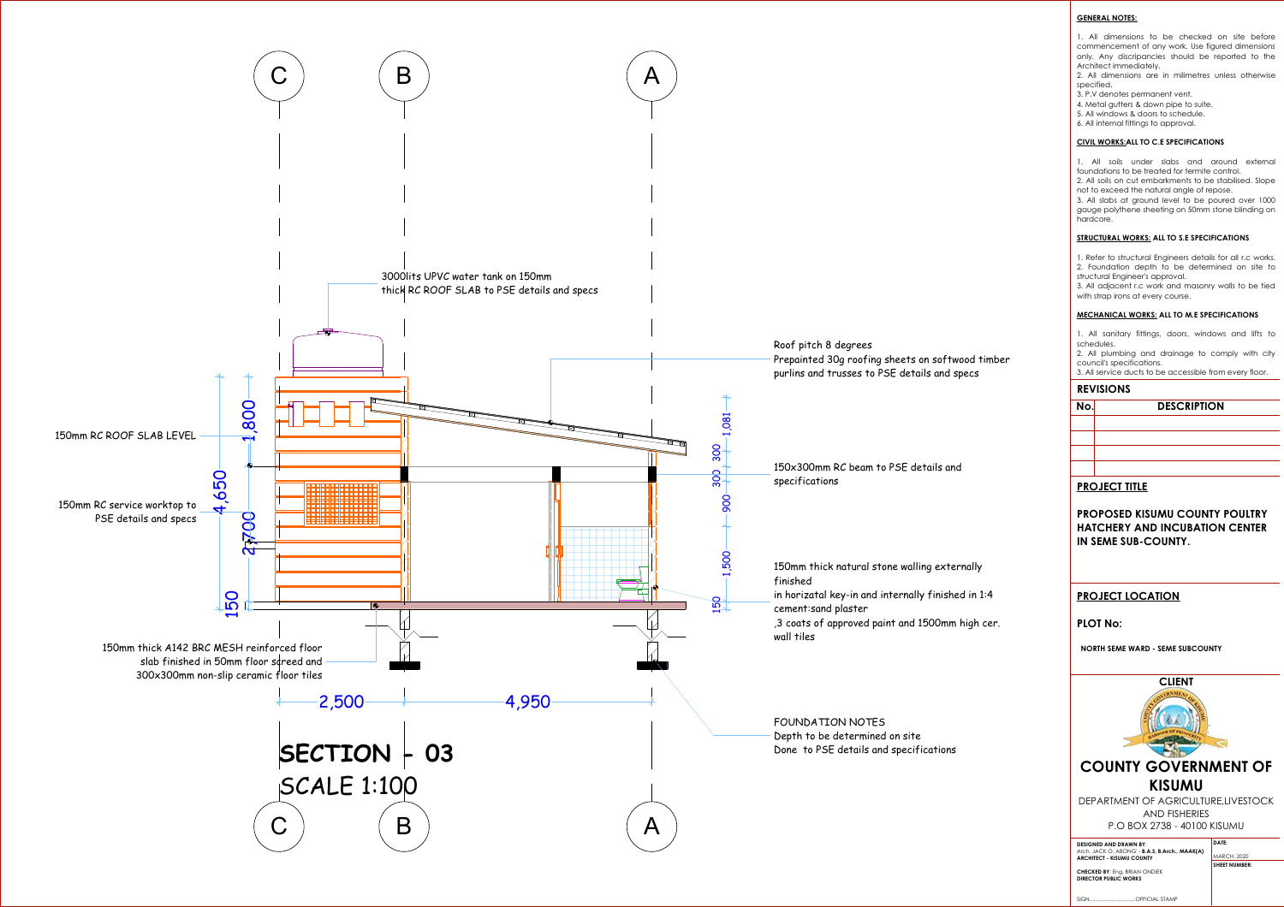**GENERAL NOTES:**



|        | No.                                                | <b>DESCRIPTION</b>                                                                                                                                                                                                                                                                                                                                                |  |  |  |
|--------|----------------------------------------------------|-------------------------------------------------------------------------------------------------------------------------------------------------------------------------------------------------------------------------------------------------------------------------------------------------------------------------------------------------------------------|--|--|--|
|        | <b>REVISIONS</b>                                   |                                                                                                                                                                                                                                                                                                                                                                   |  |  |  |
| timber |                                                    | 1. All sanitary fittings, doors, windows and lifts to<br>schedules.<br>2. All plumbing and drainage to comply with city<br>council's specifications.<br>3. All service ducts to be accessible from every floor.                                                                                                                                                   |  |  |  |
|        |                                                    | <b>MECHANICAL WORKS: ALL TO M.E SPECIFICATIONS</b>                                                                                                                                                                                                                                                                                                                |  |  |  |
|        |                                                    | 1. Refer to structural Engineers details for all r.c works.<br>2. Foundation depth to be determined on site to<br>structural Engineer's approval.<br>3. All adjacent r.c work and masonry walls to be tied<br>with strap irons at every course.                                                                                                                   |  |  |  |
|        | <b>STRUCTURAL WORKS: ALL TO S.E SPECIFICATIONS</b> |                                                                                                                                                                                                                                                                                                                                                                   |  |  |  |
|        | 1.                                                 | All soils under slabs and around external<br>foundations to be treated for termite control.<br>2. All soils on cut embarkments to be stabilised. Slope<br>not to exceed the natural angle of repose.<br>3. All slabs at ground level to be poured over 1000<br>gauge polythene sheeting on 50mm stone blinding on<br>hardcore.                                    |  |  |  |
|        |                                                    | <b>CIVIL WORKS: ALL TO C.E SPECIFICATIONS</b>                                                                                                                                                                                                                                                                                                                     |  |  |  |
|        |                                                    | commencement of any work. Use figured dimensions<br>only. Any discripancies should be reported to the<br>Architect immediately.<br>2. All dimensions are in milimetres unless otherwise<br>specified.<br>3. P.V denotes permanent vent.<br>4. Metal gutters & down pipe to suite.<br>5. All windows & doors to schedule.<br>6. All internal fittings to approval. |  |  |  |
|        |                                                    | 1. All dimensions to be checked on site before                                                                                                                                                                                                                                                                                                                    |  |  |  |

# **PROJECT TITLE**

**PROPOSED KISUMU COUNTY POULTRY HATCHERY AND INCUBATION CENTER IN SEME SUB-COUNTY.**

# **PROJECT LOCATION**

# **PLOT No:**

**NORTH SEME WARD - SEME SUBCOUNTY**